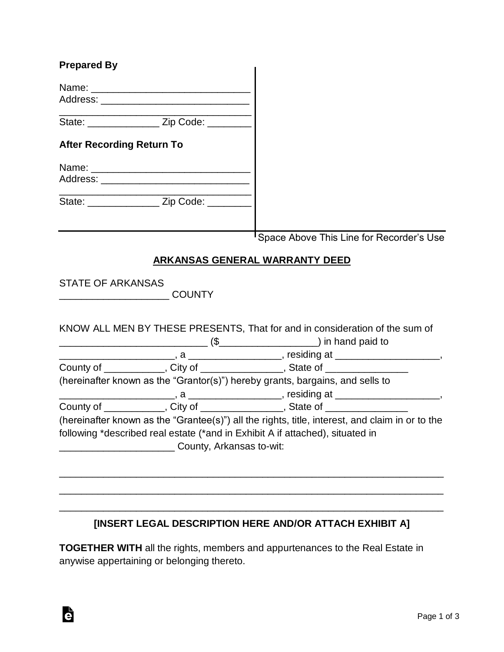| <b>Prepared By</b>               |                                                |                                                                                                 |
|----------------------------------|------------------------------------------------|-------------------------------------------------------------------------------------------------|
|                                  |                                                |                                                                                                 |
|                                  | State: __________________ Zip Code: __________ |                                                                                                 |
| <b>After Recording Return To</b> |                                                |                                                                                                 |
|                                  |                                                |                                                                                                 |
|                                  | State: ___________________ Zip Code: _________ |                                                                                                 |
|                                  |                                                | <sup>I</sup> Space Above This Line for Recorder's Use                                           |
|                                  |                                                | <b>ARKANSAS GENERAL WARRANTY DEED</b>                                                           |
| <b>STATE OF ARKANSAS</b>         |                                                |                                                                                                 |
|                                  |                                                | KNOW ALL MEN BY THESE PRESENTS, That for and in consideration of the sum of                     |
|                                  |                                                |                                                                                                 |
|                                  |                                                | County of _____________, City of ________________, State of ____________________                |
|                                  |                                                | (hereinafter known as the "Grantor(s)") hereby grants, bargains, and sells to                   |
|                                  |                                                |                                                                                                 |
|                                  |                                                | County of _____________, City of ________________, State of _______________                     |
|                                  |                                                | (hereinafter known as the "Grantee(s)") all the rights, title, interest, and claim in or to the |
|                                  |                                                | following *described real estate (*and in Exhibit A if attached), situated in                   |
|                                  | County, Arkansas to-wit:                       |                                                                                                 |
|                                  |                                                |                                                                                                 |
|                                  |                                                |                                                                                                 |
|                                  |                                                |                                                                                                 |
|                                  |                                                |                                                                                                 |

## **[INSERT LEGAL DESCRIPTION HERE AND/OR ATTACH EXHIBIT A]**

**TOGETHER WITH** all the rights, members and appurtenances to the Real Estate in anywise appertaining or belonging thereto.

è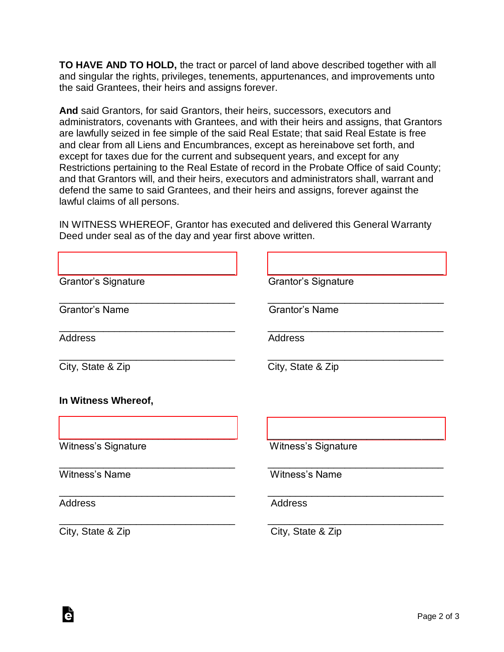**TO HAVE AND TO HOLD,** the tract or parcel of land above described together with all and singular the rights, privileges, tenements, appurtenances, and improvements unto the said Grantees, their heirs and assigns forever.

**And** said Grantors, for said Grantors, their heirs, successors, executors and administrators, covenants with Grantees, and with their heirs and assigns, that Grantors are lawfully seized in fee simple of the said Real Estate; that said Real Estate is free and clear from all Liens and Encumbrances, except as hereinabove set forth, and except for taxes due for the current and subsequent years, and except for any Restrictions pertaining to the Real Estate of record in the Probate Office of said County; and that Grantors will, and their heirs, executors and administrators shall, warrant and defend the same to said Grantees, and their heirs and assigns, forever against the lawful claims of all persons.

IN WITNESS WHEREOF, Grantor has executed and delivered this General Warranty Deed under seal as of the day and year first above written.

| <b>Grantor's Signature</b> | <b>Grantor's Signature</b> |
|----------------------------|----------------------------|
| <b>Grantor's Name</b>      | <b>Grantor's Name</b>      |
| <b>Address</b>             | <b>Address</b>             |
| City, State & Zip          | City, State & Zip          |
| In Witness Whereof,        |                            |
| <b>Witness's Signature</b> | Witness's Signature        |
| Witness's Name             | Witness's Name             |
| <b>Address</b>             | Address                    |
| City, State & Zip          | City, State & Zip          |

Ġ